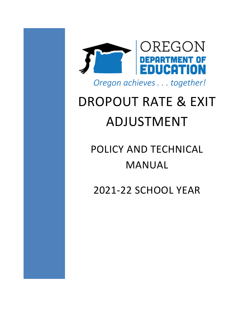

# DROPOUT RATE & EXIT ADJUSTMENT

## POLICY AND TECHNICAL MANUAL

2021-22 SCHOOL YEAR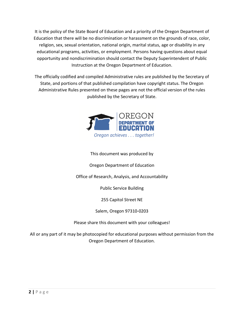It is the policy of the State Board of Education and a priority of the Oregon Department of Education that there will be no discrimination or harassment on the grounds of race, color, religion, sex, sexual orientation, national origin, marital status, age or disability in any educational programs, activities, or employment. Persons having questions about equal opportunity and nondiscrimination should contact the Deputy Superintendent of Public Instruction at the Oregon Department of Education.

The officially codified and compiled Administrative rules are published by the Secretary of State, and portions of that published compilation have copyright status. The Oregon Administrative Rules presented on these pages are not the official version of the rules published by the Secretary of State.



#### This document was produced by

Oregon Department of Education

Office of Research, Analysis, and Accountability

Public Service Building

255 Capitol Street NE

Salem, Oregon 97310-0203

Please share this document with your colleagues!

All or any part of it may be photocopied for educational purposes without permission from the Oregon Department of Education.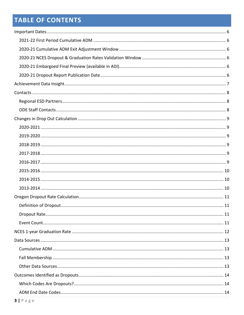## **TABLE OF CONTENTS**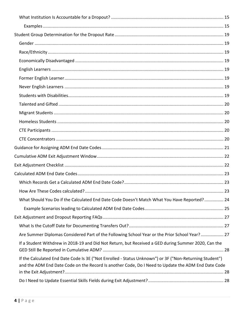| What Should You Do if the Calculated End Date Code Doesn't Match What You Have Reported? 24                                                                                                                   |  |
|---------------------------------------------------------------------------------------------------------------------------------------------------------------------------------------------------------------|--|
|                                                                                                                                                                                                               |  |
|                                                                                                                                                                                                               |  |
|                                                                                                                                                                                                               |  |
| Are Summer Diplomas Considered Part of the Following School Year or the Prior School Year? 27                                                                                                                 |  |
| If a Student Withdrew in 2018-19 and Did Not Return, but Received a GED during Summer 2020, Can the                                                                                                           |  |
| If the Calculated End Date Code Is 3E ("Not Enrolled - Status Unknown") or 3F ("Non-Returning Student")<br>and the ADM End Date Code on the Record Is another Code, Do I Need to Update the ADM End Date Code |  |
|                                                                                                                                                                                                               |  |
|                                                                                                                                                                                                               |  |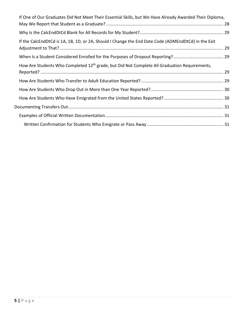| If One of Our Graduates Did Not Meet Their Essential Skills, but We Have Already Awarded Their Diploma,  |  |
|----------------------------------------------------------------------------------------------------------|--|
|                                                                                                          |  |
|                                                                                                          |  |
| If the CalcEndDtCd is 1A, 1B, 1D, or 2A, Should I Change the End Date Code (ADMEndDtCd) in the Exit      |  |
|                                                                                                          |  |
| How Are Students Who Completed 12 <sup>th</sup> grade, but Did Not Complete All Graduation Requirements, |  |
|                                                                                                          |  |
|                                                                                                          |  |
|                                                                                                          |  |
|                                                                                                          |  |
|                                                                                                          |  |
|                                                                                                          |  |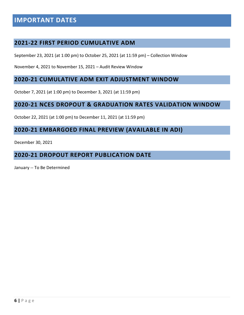## <span id="page-5-0"></span>**IMPORTANT DATES**

#### <span id="page-5-1"></span>**2021-22 FIRST PERIOD CUMULATIVE ADM**

September 23, 2021 (at 1:00 pm) to October 25, 2021 (at 11:59 pm) – Collection Window

November 4, 2021 to November 15, 2021 – Audit Review Window

#### <span id="page-5-2"></span>**2020-21 CUMULATIVE ADM EXIT ADJUSTMENT WINDOW**

October 7, 2021 (at 1:00 pm) to December 3, 2021 (at 11:59 pm)

#### <span id="page-5-3"></span>**2020-21 NCES DROPOUT & GRADUATION RATES VALIDATION WINDOW**

October 22, 2021 (at 1:00 pm) to December 11, 2021 (at 11:59 pm)

#### <span id="page-5-4"></span>**2020-21 EMBARGOED FINAL PREVIEW (AVAILABLE IN ADI)**

December 30, 2021

#### <span id="page-5-5"></span>**2020-21 DROPOUT REPORT PUBLICATION DATE**

January -- To Be Determined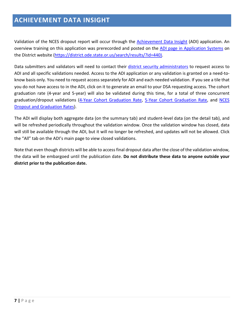## <span id="page-6-0"></span>**ACHIEVEMENT DATA INSIGHT**

Validation of the NCES dropout report will occur through the [Achievement Data Insight](https://district.ode.state.or.us/search/results/?id=440) (ADI) application. An overview training on this application was prerecorded and posted on the [ADI page in Application Systems](https://district.ode.state.or.us/search/results/?id=440) on the District website [\(https://district.ode.state.or.us/search/results/?id=440\)](https://district.ode.state.or.us/search/results/?id=440).

Data submitters and validators will need to contact their [district security administrators](https://district.ode.state.or.us/apps/login/searchSA.aspx) to request access to ADI and all specific validations needed. Access to the ADI application or any validation is granted on a need-toknow basis only. You need to request access separately for ADI and each needed validation. If you see a tile that you do not have access to in the ADI, click on it to generate an email to your DSA requesting access. The cohort graduation rate (4-year and 5-year) will also be validated during this time, for a total of three concurrent graduation/dropout validations [\(4-Year Cohort Graduation Rate,](https://district.ode.state.or.us/apps/info/DataCllctnDetail.aspx?id=284&Collection_ID=2527) [5-Year Cohort Graduation Rate,](https://district.ode.state.or.us/apps/info/DataCllctnDetail.aspx?id=285&Collection_ID=2526) and [NCES](https://district.ode.state.or.us/apps/info/DataCllctnDetail.aspx?id=338&Collection_ID=2525)  [Dropout and Graduation Rates\)](https://district.ode.state.or.us/apps/info/DataCllctnDetail.aspx?id=338&Collection_ID=2525).

The ADI will display both aggregate data (on the summary tab) and student-level data (on the detail tab), and will be refreshed periodically throughout the validation window. Once the validation window has closed, data will still be available through the ADI, but it will no longer be refreshed, and updates will not be allowed. Click the "All" tab on the ADI's main page to view closed validations.

Note that even though districts will be able to access final dropout data after the close of the validation window, the data will be embargoed until the publication date. **Do not distribute these data to anyone outside your district prior to the publication date.**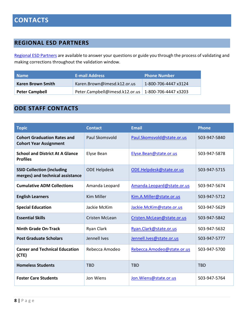#### <span id="page-7-1"></span><span id="page-7-0"></span>**REGIONAL ESD PARTNERS**

[Regional ESD Partners](https://www.oregon.gov/ode/educator-resources/assessment/Documents/esdpartners.pdf) are available to answer your questions or guide you through the process of validating and making corrections throughout the validation window.

| <b>Name</b>           | <b>E-mail Address</b>                                 | <b>Phone Number</b>  |
|-----------------------|-------------------------------------------------------|----------------------|
| Karen Brown Smith     | Karen.Brown@imesd.k12.or.us                           | 1-800-706-4447 x3124 |
| <b>Peter Campbell</b> | Peter.Campbell@imesd.k12.or.us   1-800-706-4447 x3203 |                      |

#### <span id="page-7-2"></span>**ODE STAFF CONTACTS**

| <b>Topic</b>                                                          | <b>Contact</b>      | <b>Email</b>               | <b>Phone</b> |
|-----------------------------------------------------------------------|---------------------|----------------------------|--------------|
| <b>Cohort Graduation Rates and</b><br><b>Cohort Year Assignment</b>   | Paul Skomsvold      | Paul.Skomsvold@state.or.us | 503-947-5840 |
| <b>School and District At A Glance</b><br><b>Profiles</b>             | Elyse Bean          | Elyse.Bean@state.or.us     | 503-947-5878 |
| <b>SSID Collection (including</b><br>merges) and technical assistance | <b>ODE Helpdesk</b> | ODE.Helpdesk@state.or.us   | 503-947-5715 |
| <b>Cumulative ADM Collections</b>                                     | Amanda Leopard      | Amanda.Leopard@state.or.us | 503-947-5674 |
| <b>English Learners</b>                                               | <b>Kim Miller</b>   | Kim.A.Miller@state.or.us   | 503-947-5712 |
| <b>Special Education</b>                                              | Jackie McKim        | Jackie.McKim@state.or.us   | 503-947-5629 |
| <b>Essential Skills</b>                                               | Cristen McLean      | Cristen.McLean@state.or.us | 503-947-5842 |
| <b>Ninth Grade On-Track</b>                                           | Ryan Clark          | Ryan.Clark@state.or.us     | 503-947-5632 |
| <b>Post Graduate Scholars</b>                                         | Jennell Ives        | Jennell.lves@state.or.us   | 503-947-5777 |
| <b>Career and Technical Education</b><br>(CTE)                        | Rebecca Amodeo      | Rebecca.Amodeo@state.or.us | 503-947-5700 |
| <b>Homeless Students</b>                                              | <b>TBD</b>          | <b>TBD</b>                 | <b>TBD</b>   |
| <b>Foster Care Students</b>                                           | Jon Wiens           | Jon. Wiens@state.or.us     | 503-947-5764 |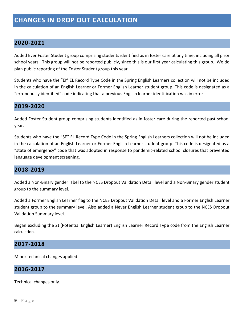#### <span id="page-8-1"></span><span id="page-8-0"></span>**2020-2021**

Added Ever Foster Student group comprising students identified as in foster care at any time, including all prior school years. This group will not be reported publicly, since this is our first year calculating this group. We do plan public reporting of the Foster Student group this year.

Students who have the "EI" EL Record Type Code in the Spring English Learners collection will not be included in the calculation of an English Learner or Former English Learner student group. This code is designated as a "erroneously identified" code indicating that a previous English learner identification was in error.

#### <span id="page-8-2"></span>**2019-2020**

Added Foster Student group comprising students identified as in foster care during the reported past school year.

Students who have the "SE" EL Record Type Code in the Spring English Learners collection will not be included in the calculation of an English Learner or Former English Learner student group. This code is designated as a "state of emergency" code that was adopted in response to pandemic-related school closures that prevented language development screening.

#### <span id="page-8-3"></span>**2018-2019**

Added a Non-Binary gender label to the NCES Dropout Validation Detail level and a Non-Binary gender student group to the summary level.

Added a Former English Learner flag to the NCES Dropout Validation Detail level and a Former English Learner student group to the summary level. Also added a Never English Learner student group to the NCES Dropout Validation Summary level.

Began excluding the 2J (Potential English Learner) English Learner Record Type code from the English Learner calculation.

#### <span id="page-8-4"></span>**2017-2018**

Minor technical changes applied.

#### <span id="page-8-5"></span>**2016-2017**

Technical changes only.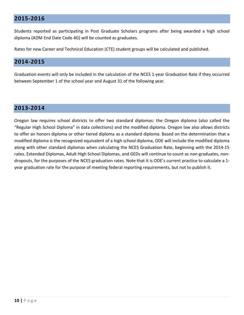#### <span id="page-9-0"></span>**2015-2016**

Students reported as participating in Post Graduate Scholars programs after being awarded a high school diploma (ADM End Date Code 4G) will be counted as graduates.

Rates for new Career and Technical Education (CTE) student groups will be calculated and published.

#### <span id="page-9-1"></span>**2014-2015**

Graduation events will only be included in the calculation of the NCES 1-year Graduation Rate if they occurred between September 1 of the school year and August 31 of the following year.

#### <span id="page-9-2"></span>**2013-2014**

Oregon law requires school districts to offer two standard diplomas: the Oregon diploma (also called the "Regular High School Diploma" in data collections) and the modified diploma. Oregon law also allows districts to offer an honors diploma or other tiered diploma as a standard diploma. Based on the determination that a modified diploma is the recognized equivalent of a high school diploma, ODE will include the modified diploma along with other standard diplomas when calculating the NCES Graduation Rate, beginning with the 2014-15 rates. Extended Diplomas, Adult High School Diplomas, and GEDs will continue to count as non-graduates, nondropouts, for the purposes of the NCES graduation rates. Note that it is ODE's current practice to calculate a 1 year graduation rate for the purpose of meeting federal reporting requirements, but not to publish it.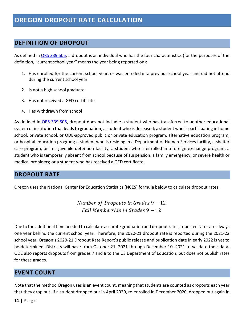#### <span id="page-10-1"></span><span id="page-10-0"></span>**DEFINITION OF DROPOUT**

As defined in [ORS 339.505,](https://www.oregonlegislature.gov/bills_laws/ors/ors339.html) a dropout is an individual who has the four characteristics (for the purposes of the definition, "current school year" means the year being reported on):

- 1. Has enrolled for the current school year, or was enrolled in a previous school year and did not attend during the current school year
- 2. Is not a high school graduate
- 3. Has not received a GED certificate
- 4. Has withdrawn from school

As defined in [ORS 339.505,](https://www.oregonlegislature.gov/bills_laws/ors/ors339.html) dropout does not include: a student who has transferred to another educational system or institution that leads to graduation; a student who is deceased; a student who is participating in home school, private school, or ODE-approved public or private education program, alternative education program, or hospital education program; a student who is residing in a Department of Human Services facility, a shelter care program, or in a juvenile detention facility; a student who is enrolled in a foreign exchange program; a student who is temporarily absent from school because of suspension, a family emergency, or severe health or medical problems; or a student who has received a GED certificate.

#### <span id="page-10-2"></span>**DROPOUT RATE**

Oregon uses the National Center for Education Statistics (NCES) formula below to calculate dropout rates.

Number of Dropouts in Grades  $9 - 12$  $Fall$  Membership in Grades  $9-12$ 

Due to the additional time needed to calculate accurate graduation and dropout rates, reported rates are always one year behind the current school year. Therefore, the 2020-21 dropout rate is reported during the 2021-22 school year. Oregon's 2020-21 Dropout Rate Report's public release and publication date in early 2022 is yet to be determined. Districts will have from October 21, 2021 through December 10, 2021 to validate their data. ODE also reports dropouts from grades 7 and 8 to the US Department of Education, but does not publish rates for these grades.

#### <span id="page-10-3"></span>**EVENT COUNT**

Note that the method Oregon uses is an event count, meaning that students are counted as dropouts each year that they drop out. If a student dropped out in April 2020, re-enrolled in December 2020, dropped out again in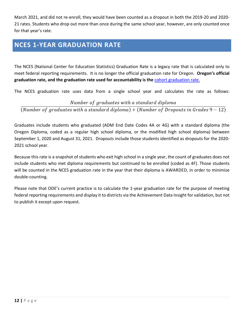March 2021, and did not re-enroll, they would have been counted as a dropout in both the 2019-20 and 2020- 21 rates. Students who drop out more than once during the same school year, however, are only counted once for that year's rate.

## <span id="page-11-0"></span>**NCES 1-YEAR GRADUATION RATE**

The NCES (National Center for Education Statistics) Graduation Rate is a legacy rate that is calculated only to meet federal reporting requirements. It is no longer the official graduation rate for Oregon. **Oregon's official graduation rate, and the graduation rate used for accountability is the** [cohort graduation rate.](http://www.oregon.gov/ode/reports-and-data/students/Pages/Cohort-Graduation-Rate.aspx)

The NCES graduation rate uses data from a single school year and calculates the rate as follows:

#### Number of graduates with a standard diploma

(Number of graduates with a standard diploma) + (Number of Dropouts in Grades  $9-12$ )

Graduates include students who graduated (ADM End Date Codes 4A or 4G) with a standard diploma (the Oregon Diploma, coded as a regular high school diploma, or the modified high school diploma) between September 1, 2020 and August 31, 2021. Dropouts include those students identified as dropouts for the 2020- 2021 school year.

Because this rate is a snapshot of students who exit high school in a single year, the count of graduates does not include students who met diploma requirements but continued to be enrolled (coded as 4F). Those students will be counted in the NCES graduation rate in the year that their diploma is AWARDED, in order to minimize double-counting.

<span id="page-11-1"></span>Please note that ODE's current practice is to calculate the 1-year graduation rate for the purpose of meeting federal reporting requirements and display it to districts via the Achievement Data Insight for validation, but not to publish it except upon request.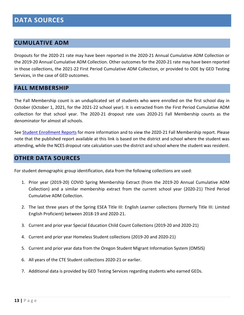#### <span id="page-12-0"></span>**CUMULATIVE ADM**

Dropouts for the 2020-21 rate may have been reported in the 2020-21 Annual Cumulative ADM Collection or the 2019-20 Annual Cumulative ADM Collection. Other outcomes for the 2020-21 rate may have been reported in those collections, the 2021-22 First Period Cumulative ADM Collection, or provided to ODE by GED Testing Services, in the case of GED outcomes.

#### <span id="page-12-1"></span>**FALL MEMBERSHIP**

The Fall Membership count is an unduplicated set of students who were enrolled on the first school day in October (October 1, 2021, for the 2021-22 school year). It is extracted from the First Period Cumulative ADM collection for that school year. The 2020-21 dropout rate uses 2020-21 Fall Membership counts as the denominator for almost all schools.

See [Student Enrollment Reports](http://www.oregon.gov/ode/reports-and-data/students/Pages/Student-Enrollment-Reports.aspx) for more information and to view the 2020-21 Fall Membership report. Please note that the published report available at this link is based on the district and school where the student was attending, while the NCES dropout rate calculation uses the district and school where the student was resident.

#### <span id="page-12-2"></span>**OTHER DATA SOURCES**

For student demographic group identification, data from the following collections are used:

- 1. Prior year (2019-20) COVID Spring Membership Extract (from the 2019-20 Annual Cumulative ADM Collection) and a similar membership extract from the current school year (2020-21) Third Period Cumulative ADM Collection.
- 2. The last three years of the Spring ESEA Title III: English Learner collections (formerly Title III: Limited English Proficient) between 2018-19 and 2020-21.
- 3. Current and prior year Special Education Child Count Collections (2019-20 and 2020-21)
- 4. Current and prior year Homeless Student collections (2019-20 and 2020-21)
- 5. Current and prior year data from the Oregon Student Migrant Information System (OMSIS)
- 6. All years of the CTE Student collections 2020-21 or earlier.
- 7. Additional data is provided by GED Testing Services regarding students who earned GEDs.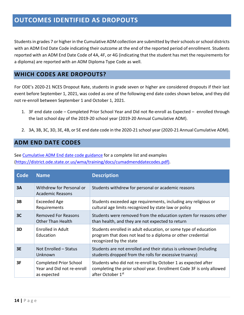## <span id="page-13-0"></span>**OUTCOMES IDENTIFIED AS DROPOUTS**

Students in grades 7 or higher in the Cumulative ADM collection are submitted by their schools or school districts with an ADM End Date Code indicating their outcome at the end of the reported period of enrollment. Students reported with an ADM End Date Code of 4A, 4F, or 4G (indicating that the student has met the requirements for a diploma) are reported with an ADM Diploma Type Code as well.

#### <span id="page-13-1"></span>**WHICH CODES ARE DROPOUTS?**

For ODE's 2020-21 NCES Dropout Rate, students in grade seven or higher are considered dropouts if their last event before September 1, 2021, was coded as one of the following end date codes shown below, and they did not re-enroll between September 1 and October 1, 2021.

- 1. 3F end date code Completed Prior School Year and Did not Re-enroll as Expected enrolled through the last school day of the 2019-20 school year (2019-20 Annual Cumulative ADM).
- 2. 3A, 3B, 3C, 3D, 3E, 4B, or 5E end date code in the 2020-21 school year (2020-21 Annual Cumulative ADM).

#### <span id="page-13-2"></span>**ADM END DATE CODES**

See [Cumulative ADM End date code guidance](https://district.ode.state.or.us/wma/training/docs/cumadmenddatecodes.pdf) for a complete list and examples [\(https://district.ode.state.or.us/wma/training/docs/cumadmenddatecodes.pdf\)](https://district.ode.state.or.us/wma/training/docs/cumadmenddatecodes.pdf).

| Code           | <b>Name</b>                                                                | <b>Description</b>                                                                                                                                         |
|----------------|----------------------------------------------------------------------------|------------------------------------------------------------------------------------------------------------------------------------------------------------|
| 3A             | Withdrew for Personal or<br><b>Academic Reasons</b>                        | Students withdrew for personal or academic reasons                                                                                                         |
| 3B             | Exceeded Age<br>Requirements                                               | Students exceeded age requirements, including any religious or<br>cultural age limits recognized by state law or policy                                    |
| 3 <sup>C</sup> | <b>Removed For Reasons</b><br><b>Other Than Health</b>                     | Students were removed from the education system for reasons other<br>than health, and they are not expected to return                                      |
| 3D             | Enrolled in Adult<br>Education                                             | Students enrolled in adult education, or some type of education<br>program that does not lead to a diploma or other credential<br>recognized by the state  |
| 3E             | Not Enrolled - Status<br>Unknown                                           | Students are not enrolled and their status is unknown (including<br>students dropped from the rolls for excessive truancy)                                 |
| 3F             | <b>Completed Prior School</b><br>Year and Did not re-enroll<br>as expected | Students who did not re-enroll by October 1 as expected after<br>completing the prior school year. Enrollment Code 3F is only allowed<br>after October 1st |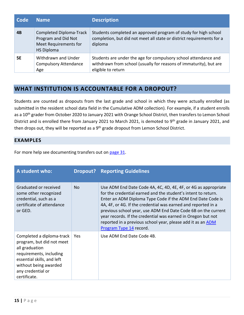| Code | <b>Name</b>                                                                                         | <b>Description</b>                                                                                                                                          |
|------|-----------------------------------------------------------------------------------------------------|-------------------------------------------------------------------------------------------------------------------------------------------------------------|
| 4B   | <b>Completed Diploma-Track</b><br>Program and Did Not<br>Meet Requirements for<br><b>HS Diploma</b> | Students completed an approved program of study for high school<br>completion, but did not meet all state or district requirements for a<br>diploma         |
| 5E   | Withdrawn and Under<br><b>Compulsory Attendance</b><br>Age                                          | Students are under the age for compulsory school attendance and<br>withdrawn from school (usually for reasons of immaturity), but are<br>eligible to return |

#### <span id="page-14-0"></span>**WHAT INSTITUTION IS ACCOUNTABLE FOR A DROPOUT?**

Students are counted as dropouts from the last grade and school in which they were actually enrolled (as submitted in the resident school data field in the Cumulative ADM collection). For example, if a student enrolls as a 10<sup>th</sup> grader from October 2020 to January 2021 with Orange School District, then transfers to Lemon School District and is enrolled there from January 2021 to March 2021, is demoted to 9<sup>th</sup> grade in January 2021, and then drops out, they will be reported as a  $9<sup>th</sup>$  grade dropout from Lemon School District.

#### <span id="page-14-1"></span>**EXAMPLES**

For more help see documenting transfers out on [page 31.](#page-31-0)

| A student who:                                                                                                                                                                                  |     | <b>Dropout?</b> Reporting Guidelines                                                                                                                                                                                                                                                                                                                                                                                                                                                      |
|-------------------------------------------------------------------------------------------------------------------------------------------------------------------------------------------------|-----|-------------------------------------------------------------------------------------------------------------------------------------------------------------------------------------------------------------------------------------------------------------------------------------------------------------------------------------------------------------------------------------------------------------------------------------------------------------------------------------------|
| Graduated or received<br>some other recognized<br>credential, such as a<br>certificate of attendance<br>or GED.                                                                                 | No. | Use ADM End Date Code 4A, 4C, 4D, 4E, 4F, or 4G as appropriate<br>for the credential earned and the student's intent to return.<br>Enter an ADM Diploma Type Code if the ADM End Date Code is<br>4A, 4F, or 4G. If the credential was earned and reported in a<br>previous school year, use ADM End Date Code 6B on the current<br>year records. If the credential was earned in Oregon but not<br>reported in a previous school year, please add it as an ADM<br>Program Type 14 record. |
| Completed a diploma-track<br>program, but did not meet<br>all graduation<br>requirements, including<br>essential skills, and left<br>without being awarded<br>any credential or<br>certificate. | Yes | Use ADM End Date Code 4B.                                                                                                                                                                                                                                                                                                                                                                                                                                                                 |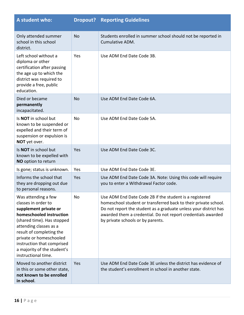| A student who:                                                                                                                                                                                                                                                                                     |            | <b>Dropout? Reporting Guidelines</b>                                                                                                                                                                                                                                                                |
|----------------------------------------------------------------------------------------------------------------------------------------------------------------------------------------------------------------------------------------------------------------------------------------------------|------------|-----------------------------------------------------------------------------------------------------------------------------------------------------------------------------------------------------------------------------------------------------------------------------------------------------|
| Only attended summer<br>school in this school<br>district.                                                                                                                                                                                                                                         | <b>No</b>  | Students enrolled in summer school should not be reported in<br>Cumulative ADM.                                                                                                                                                                                                                     |
| Left school without a<br>diploma or other<br>certification after passing<br>the age up to which the<br>district was required to<br>provide a free, public<br>education.                                                                                                                            | Yes        | Use ADM End Date Code 3B.                                                                                                                                                                                                                                                                           |
| Died or became<br>permanently<br>incapacitated.                                                                                                                                                                                                                                                    | No         | Use ADM End Date Code 6A.                                                                                                                                                                                                                                                                           |
| Is NOT in school but<br>known to be suspended or<br>expelled and their term of<br>suspension or expulsion is<br>NOT yet over.                                                                                                                                                                      | No         | Use ADM End Date Code 5A.                                                                                                                                                                                                                                                                           |
| Is NOT in school but<br>known to be expelled with<br>NO option to return                                                                                                                                                                                                                           | Yes        | Use ADM End Date Code 3C.                                                                                                                                                                                                                                                                           |
| Is gone; status is unknown.                                                                                                                                                                                                                                                                        | Yes        | Use ADM End Date Code 3E.                                                                                                                                                                                                                                                                           |
| Informs the school that<br>they are dropping out due<br>to personal reasons.                                                                                                                                                                                                                       | Yes        | Use ADM End Date Code 3A. Note: Using this code will require<br>you to enter a Withdrawal Factor code.                                                                                                                                                                                              |
| Was attending a few<br>classes in order to<br>supplement private or<br>homeschooled instruction<br>(shared time). Has stopped<br>attending classes as a<br>result of completing the<br>private or homeschooled<br>instruction that comprised<br>a majority of the student's<br>instructional time. | No         | Use ADM End Date Code 2B if the student is a registered<br>homeschool student or transferred back to their private school.<br>Do not report the student as a graduate unless your district has<br>awarded them a credential. Do not report credentials awarded<br>by private schools or by parents. |
| Moved to another district<br>in this or some other state,<br>not known to be enrolled<br>in school.                                                                                                                                                                                                | <b>Yes</b> | Use ADM End Date Code 3E unless the district has evidence of<br>the student's enrollment in school in another state.                                                                                                                                                                                |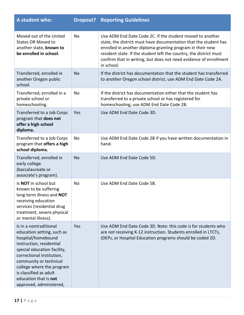| A student who:                                                                                                                                                                                                                                                                                          | Dropout?  | <b>Reporting Guidelines</b>                                                                                                                                                                                                                                                                                                                         |
|---------------------------------------------------------------------------------------------------------------------------------------------------------------------------------------------------------------------------------------------------------------------------------------------------------|-----------|-----------------------------------------------------------------------------------------------------------------------------------------------------------------------------------------------------------------------------------------------------------------------------------------------------------------------------------------------------|
| Moved out of the United<br><b>States OR Moved to</b><br>another state, known to<br>be enrolled in school.                                                                                                                                                                                               | No        | Use ADM End Date Code 2C. If the student moved to another<br>state, the district must have documentation that the student has<br>enrolled in another diploma-granting program in their new<br>resident state. If the student left the country, the district must<br>confirm that in writing, but does not need evidence of enrollment<br>in school. |
| Transferred, enrolled in<br>another Oregon public<br>school.                                                                                                                                                                                                                                            | <b>No</b> | If the district has documentation that the student has transferred<br>to another Oregon school district, use ADM End Date Code 2A.                                                                                                                                                                                                                  |
| Transferred, enrolled in a<br>private school or<br>homeschooling.                                                                                                                                                                                                                                       | No        | If the district has documentation either that the student has<br>transferred to a private school or has registered for<br>homeschooling, use ADM End Date Code 2B.                                                                                                                                                                                  |
| Transferred to a Job Corps<br>program that does not<br>offer a high school<br>diploma.                                                                                                                                                                                                                  | Yes       | Use ADM End Date Code 3D.                                                                                                                                                                                                                                                                                                                           |
| Transferred to a Job Corps<br>program that offers a high<br>school diploma.                                                                                                                                                                                                                             | No        | Use ADM End Date Code 2B if you have written documentation in<br>hand.                                                                                                                                                                                                                                                                              |
| Transferred, enrolled in<br>early college<br>(baccalaureate or<br>associate's program).                                                                                                                                                                                                                 | <b>No</b> | Use ADM End Date Code 5D.                                                                                                                                                                                                                                                                                                                           |
| Is NOT in school but<br>known to be suffering<br>long-term illness and NOT<br>receiving education<br>services (residential drug<br>treatment, severe physical<br>or mental illness).                                                                                                                    | No        | Use ADM End Date Code 5B.                                                                                                                                                                                                                                                                                                                           |
| Is in a nontraditional<br>education setting, such as<br>hospital/homebound<br>instruction, residential<br>special education facility,<br>correctional institution,<br>community or technical<br>college where the program<br>is classified as adult<br>education that is not<br>approved, administered, | Yes       | Use ADM End Date Code 3D. Note: this code is for students who<br>are not receiving K-12 instruction. Students enrolled in LTCTs,<br>JDEPs, or Hospital Education programs should be coded 2D.                                                                                                                                                       |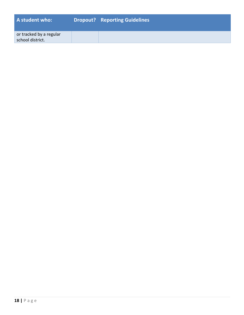| A student who:                              | <b>Dropout?</b> Reporting Guidelines |
|---------------------------------------------|--------------------------------------|
| or tracked by a regular<br>school district. |                                      |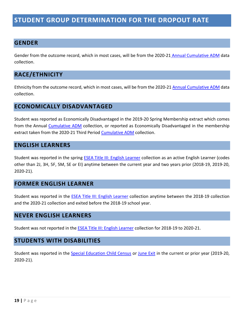## <span id="page-18-0"></span>**STUDENT GROUP DETERMINATION FOR THE DROPOUT RATE**

#### <span id="page-18-1"></span>**GENDER**

Gender from the outcome record, which in most cases, will be from the 2020-21 [Annual Cumulative ADM](https://district.ode.state.or.us/search/page/?id=156) data collection.

#### <span id="page-18-2"></span>**RACE/ETHNICITY**

Ethnicity from the outcome record, which in most cases, will be from the 2020-21 [Annual Cumulative ADM](https://district.ode.state.or.us/search/page/?id=156) data collection.

#### <span id="page-18-3"></span>**ECONOMICALLY DISADVANTAGED**

Student was reported as Economically Disadvantaged in the 2019-20 Spring Membership extract which comes from the Annual [Cumulative ADM](https://district.ode.state.or.us/search/page/?id=156) collection, or reported as Economically Disadvantaged in the membership extract taken from the 2020-21 Third Period [Cumulative ADM](https://district.ode.state.or.us/search/page/?id=156) collection.

#### <span id="page-18-4"></span>**ENGLISH LEARNERS**

Student was reported in the spring [ESEA Title III: English Learner](https://district.ode.state.or.us/apps/info/DataCllctnDetail.aspx?id=126) collection as an active English Learner (codes other than 2J, 3H, 5F, 5M, SE or EI) anytime between the current year and two years prior (2018-19, 2019-20, 2020-21).

#### <span id="page-18-5"></span>**FORMER ENGLISH LEARNER**

Student was reported in the [ESEA Title III: English Learner](https://district.ode.state.or.us/apps/info/DataCllctnDetail.aspx?id=126) collection anytime between the 2018-19 collection and the 2020-21 collection and exited before the 2018-19 school year.

#### <span id="page-18-6"></span>**NEVER ENGLISH LEARNERS**

Student was not reported in the [ESEA Title III: English Learner](https://district.ode.state.or.us/apps/info/DataCllctnDetail.aspx?id=126) collection for 2018-19 to 2020-21.

#### <span id="page-18-7"></span>**STUDENTS WITH DISABILITIES**

Student was reported in the [Special Education Child Census](https://district.ode.state.or.us/apps/info/DataCllctnDetail.aspx?id=227) or [June Exit](https://district.ode.state.or.us/apps/info/DataCllctnDetail.aspx?id=180) in the current or prior year (2019-20, 2020-21).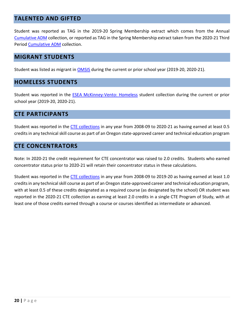#### <span id="page-19-0"></span>**TALENTED AND GIFTED**

Student was reported as TAG in the 2019-20 Spring Membership extract which comes from the Annual [Cumulative ADM](https://district.ode.state.or.us/search/page/?id=156) collection, or reported as TAG in the Spring Membership extract taken from the 2020-21 Third Period [Cumulative ADM](https://district.ode.state.or.us/search/page/?id=156) collection.

#### <span id="page-19-1"></span>**MIGRANT STUDENTS**

Student was listed as migrant in [OMSIS](https://district.ode.state.or.us/search/page/?id=212) during the current or prior school year (2019-20, 2020-21).

#### <span id="page-19-2"></span>**HOMELESS STUDENTS**

Student was reported in the [ESEA McKinney-Vento: Homeless](https://district.ode.state.or.us/apps/info/DataCllctnDetail.aspx?id=275) student collection during the current or prior school year (2019-20, 2020-21).

#### <span id="page-19-3"></span>**CTE PARTICIPANTS**

Student was reported in the [CTE collections](http://www.oregon.gov/ode/learning-options/CTE/data/Pages/default.aspx) in any year from 2008-09 to 2020-21 as having earned at least 0.5 creditsin any technical skill course as part of an Oregon state-approved career and technical education program

#### <span id="page-19-4"></span>**CTE CONCENTRATORS**

Note: In 2020-21 the credit requirement for CTE concentrator was raised to 2.0 credits. Students who earned concentrator status prior to 2020-21 will retain their concentrator status in these calculations.

Student was reported in the [CTE collections](http://www.oregon.gov/ode/learning-options/CTE/data/Pages/default.aspx) in any year from 2008-09 to 2019-20 as having earned at least 1.0 credits in any technical skill course as part of an Oregon state-approved career and technical education program, with at least 0.5 of these credits designated as a required course (as designated by the school) OR student was reported in the 2020-21 CTE collection as earning at least 2.0 credits in a single CTE Program of Study, with at least one of those credits earned through a course or courses identified as intermediate or advanced.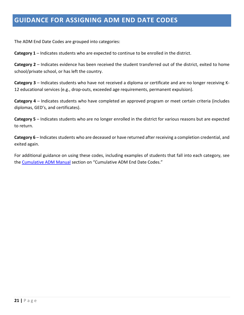## <span id="page-20-0"></span>**GUIDANCE FOR ASSIGNING ADM END DATE CODES**

The ADM End Date Codes are grouped into categories:

**Category 1** – Indicates students who are expected to continue to be enrolled in the district.

**Category 2** – Indicates evidence has been received the student transferred out of the district, exited to home school/private school, or has left the country.

**Category 3** – Indicates students who have not received a diploma or certificate and are no longer receiving K-12 educational services (e.g., drop-outs, exceeded age requirements, permanent expulsion).

**Category 4** – Indicates students who have completed an approved program or meet certain criteria (includes diplomas, GED's, and certificates).

**Category 5** – Indicates students who are no longer enrolled in the district for various reasons but are expected to return.

**Category 6** – Indicates students who are deceased or have returned after receiving a completion credential, and exited again.

For additional guidance on using these codes, including examples of students that fall into each category, see the [Cumulative ADM Manual](https://district.ode.state.or.us/wma/training/docs/cumadmmanual2122.pdf) section on "Cumulative ADM End Date Codes."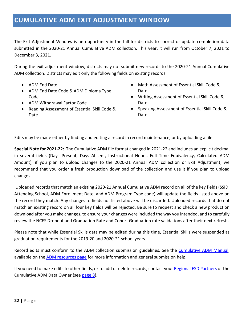## <span id="page-21-0"></span>**CUMULATIVE ADM EXIT ADJUSTMENT WINDOW**

The Exit Adjustment Window is an opportunity in the fall for districts to correct or update completion data submitted in the 2020-21 Annual Cumulative ADM collection. This year, it will run from October 7, 2021 to December 3, 2021.

During the exit adjustment window, districts may not submit new records to the 2020-21 Annual Cumulative ADM collection. Districts may edit only the following fields on existing records:

- ADM End Date
- ADM End Date Code & ADM Diploma Type Code
- ADM Withdrawal Factor Code
- Reading Assessment of Essential Skill Code & Date
- Math Assessment of Essential Skill Code & Date
- Writing Assessment of Essential Skill Code & Date
- Speaking Assessment of Essential Skill Code & Date

Edits may be made either by finding and editing a record in record maintenance, or by uploading a file.

**Special Note for 2021-22:** The Cumulative ADM file format changed in 2021-22 and includes an explicit decimal in several fields (Days Present, Days Absent, Instructional Hours, Full Time Equivalency, Calculated ADM Amount), if you plan to upload changes to the 2020-21 Annual ADM collection or Exit Adjustment, we recommend that you order a fresh production download of the collection and use it if you plan to upload changes.

Uploaded records that match an existing 2020-21 Annual Cumulative ADM record on all of the key fields (SSID, Attending School, ADM Enrollment Date, and ADM Program Type code) will update the fields listed above on the record they match. Any changes to fields not listed above will be discarded. Uploaded records that do not match an existing record on all four key fields will be rejected. Be sure to request and check a new production download after you make changes, to ensure your changes were included the way you intended, and to carefully review the NCES Dropout and Graduation Rate and Cohort Graduation rate validations after their next refresh.

Please note that while Essential Skills data may be edited during this time, Essential Skills were suspended as graduation requirements for the 2019-20 and 2020-21 school years.

Record edits must conform to the ADM collection submission guidelines. See the [Cumulative ADM Manual,](https://district.ode.state.or.us/wma/training/docs/cumadmmanual2122.pdf) available on the [ADM resources page](https://district.ode.state.or.us/search/page/?id=156) for more information and general submission help.

If you need to make edits to other fields, or to add or delete records, contact you[r Regional ESD Partners](#page-7-1) or the Cumulative ADM Data Owner (see [page](#page-7-0) 8).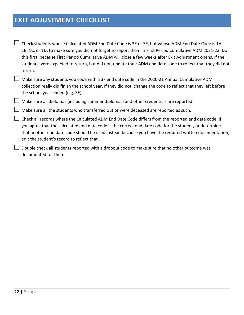## <span id="page-22-0"></span>**EXIT ADJUSTMENT CHECKLIST**

 $\Box$  Check students whose Calculated ADM End Date Code is 3E or 3F, but whose ADM End Date Code is 1A, 1B, 1C, or 1D, to make sure you did not forget to report them in First Period Cumulative ADM 2021-22. Do this first, because First Period Cumulative ADM will close a few weeks after Exit Adjustment opens. If the students were expected to return, but did not, update their ADM end date code to reflect that they did not return.

 $\Box$  Make sure any students you code with a 3F end date code in the 2020-21 Annual Cumulative ADM collection really did finish the school year. If they did not, change the code to reflect that they left before the school year ended (e.g. 3E).

 $\Box$  Make sure all diplomas (including summer diplomas) and other credentials are reported.

 $\Box$  Make sure all the students who transferred out or were deceased are reported as such.

 $\perp$  Check all records where the Calculated ADM End Date Code differs from the reported end date code. If you agree that the calculated end date code is the correct end date code for the student, or determine that another end date code should be used instead because you have the required written documentation, edit the student's record to reflect that.

 $\perp$  Double check all students reported with a dropout code to make sure that no other outcome was documented for them.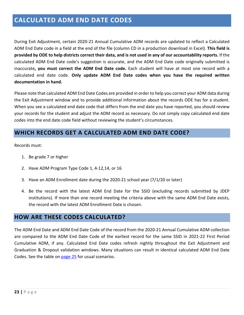## <span id="page-23-0"></span>**CALCULATED ADM END DATE CODES**

During Exit Adjustment, certain 2020-21 Annual Cumulative ADM records are updated to reflect a Calculated ADM End Date code in a field at the end of the file (column CD in a production download in Excel). **This field is provided by ODE to help districts correct their data, and is not used in any of our accountability reports.** If the calculated ADM End Date code's suggestion is accurate, and the ADM End Date code originally submitted is inaccurate**, you must correct the ADM End Date code.** Each student will have at most one record with a calculated end date code. **Only update ADM End Date codes when you have the required written documentation in hand.**

Please note that calculated ADM End Date Codes are provided in order to help you correct your ADM data during the Exit Adjustment window and to provide additional information about the records ODE has for a student. When you see a calculated end date code that differs from the end date you have reported, you should review your records for the student and adjust the ADM record as necessary. Do not simply copy calculated end date codes into the end date code field without reviewing the student's circumstances.

#### <span id="page-23-1"></span>**WHICH RECORDS GET A CALCULATED ADM END DATE CODE?**

Records must:

- 1. Be grade 7 or higher
- 2. Have ADM Program Type Code 1, 4-12,14, or 16
- 3. Have an ADM Enrollment date during the 2020-21 school year (7/1/20 or later)
- 4. Be the record with the latest ADM End Date for the SSID (excluding records submitted by JDEP institutions). If more than one record meeting the criteria above with the same ADM End Date exists, the record with the latest ADM Enrollment Date is chosen.

#### <span id="page-23-2"></span>**HOW ARE THESE CODES CALCULATED?**

The ADM End Date and ADM End Date Code of the record from the 2020-21 Annual Cumulative ADM collection are compared to the ADM End Date Code of the earliest record for the same SSID in 2021-22 First Period Cumulative ADM, if any. Calculated End Date codes refresh nightly throughout the Exit Adjustment and Graduation & Dropout validation windows. Many situations can result in identical calculated ADM End Date Codes. See the table on [page 25](#page-25-0) for usual scenarios.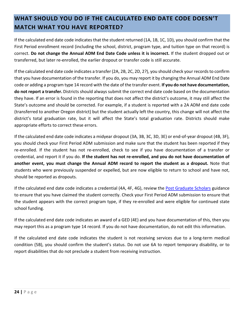## <span id="page-24-0"></span>**WHAT SHOULD YOU DO IF THE CALCULATED END DATE CODE DOESN'T MATCH WHAT YOU HAVE REPORTED?**

If the calculated end date code indicates that the student returned (1A, 1B, 1C, 1D), you should confirm that the First Period enrollment record (including the school, district, program type, and tuition type on that record) is correct. **Do not change the Annual ADM End Date Code unless it is incorrect.** If the student dropped out or transferred, but later re-enrolled, the earlier dropout or transfer code is still accurate.

If the calculated end date code indicates a transfer (2A, 2B, 2C, 2D, 2?), you should check your records to confirm that you have documentation of the transfer. If you do, you may report it by changing the Annual ADM End Date code or adding a program type 14 record with the date of the transfer event. **If you do not have documentation, do not report a transfer.**Districts should always submit the correct end date code based on the documentation they have. If an error is found in the reporting that does not affect the district's outcome, it may still affect the State's outcome and should be corrected. For example, if a student is reported with a 2A ADM end date code (transferred to another Oregon district) but the student actually left the country, this change will not affect the district's total graduation rate, but it will affect the State's total graduation rate. Districts should make appropriate efforts to correct these errors.

If the calculated end date code indicates a midyear dropout (3A, 3B, 3C, 3D, 3E) or end-of-year dropout (4B, 3F), you should check your First Period ADM submission and make sure that the student has been reported if they re-enrolled. If the student has not re-enrolled, check to see if you have documentation of a transfer or credential, and report it if you do. **If the student has not re-enrolled, and you do not have documentation of another event, you must change the Annual ADM record to report the student as a dropout.** Note that students who were previously suspended or expelled, but are now eligible to return to school and have not, should be reported as dropouts.

If the calculated end date code indicates a credential (4A, 4F, 4G), review the [Post Graduate Scholars](https://district.ode.state.or.us/wma/training/docs/post-graduate-scholar-policy-guidance-and-faq.pdf) guidance to ensure that you have claimed the student correctly. Check your First Period ADM submission to ensure that the student appears with the correct program type, if they re-enrolled and were eligible for continued state school funding.

If the calculated end date code indicates an award of a GED (4E) and you have documentation of this, then you may report this as a program type 14 record. If you do not have documentation, do not edit this information.

If the calculated end date code indicates the student is not receiving services due to a long-term medical condition (5B), you should confirm the student's status. Do not use 6A to report temporary disability, or to report disabilities that do not preclude a student from receiving instruction.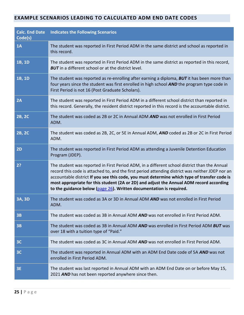#### <span id="page-25-0"></span>**EXAMPLE SCENARIOS LEADING TO CALCULATED ADM END DATE CODES**

| <b>Calc. End Date</b><br>Code(s) | <b>Indicates the Following Scenarios</b>                                                                                                                                                                                                                                                                                                                                                                                                                                |
|----------------------------------|-------------------------------------------------------------------------------------------------------------------------------------------------------------------------------------------------------------------------------------------------------------------------------------------------------------------------------------------------------------------------------------------------------------------------------------------------------------------------|
| 1A                               | The student was reported in First Period ADM in the same district and school as reported in<br>this record.                                                                                                                                                                                                                                                                                                                                                             |
| 1B, 1D                           | The student was reported in First Period ADM in the same district as reported in this record,<br><b>BUT</b> in a different school or at the district level.                                                                                                                                                                                                                                                                                                             |
| 1B, 1D                           | The student was reported as re-enrolling after earning a diploma, <b>BUT</b> it has been more than<br>four years since the student was first enrolled in high school AND the program type code in<br>First Period is not 16 (Post Graduate Scholars).                                                                                                                                                                                                                   |
| 2A                               | The student was reported in First Period ADM in a different school district than reported in<br>this record. Generally, the resident district reported in this record is the accountable district.                                                                                                                                                                                                                                                                      |
| 2B, 2C                           | The student was coded as 2B or 2C in Annual ADM AND was not enrolled in First Period<br>ADM.                                                                                                                                                                                                                                                                                                                                                                            |
| 2B, 2C                           | The student was coded as 2B, 2C, or 5E in Annual ADM, AND coded as 2B or 2C in First Period<br>ADM.                                                                                                                                                                                                                                                                                                                                                                     |
| 2D                               | The student was reported in First Period ADM as attending a Juvenile Detention Education<br>Program (JDEP).                                                                                                                                                                                                                                                                                                                                                             |
| 2?                               | The student was reported in First Period ADM, in a different school district than the Annual<br>record this code is attached to, and the first period attending district was neither JDEP nor an<br>accountable district If you see this code, you must determine which type of transfer code is<br>most appropriate for this student (2A or 2D) and adjust the Annual ADM record according<br>to the guidance below ( $page\ 26$ ). Written documentation is required. |
| <b>3A, 3D</b>                    | The student was coded as 3A or 3D in Annual ADM AND was not enrolled in First Period<br>ADM.                                                                                                                                                                                                                                                                                                                                                                            |
| <b>3B</b>                        | The student was coded as 3B in Annual ADM AND was not enrolled in First Period ADM.                                                                                                                                                                                                                                                                                                                                                                                     |
| <b>3B</b>                        | The student was coded as 3B in Annual ADM AND was enrolled in First Period ADM BUT was<br>over 18 with a tuition type of "Paid."                                                                                                                                                                                                                                                                                                                                        |
| 3C                               | The student was coded as 3C in Annual ADM AND was not enrolled in First Period ADM.                                                                                                                                                                                                                                                                                                                                                                                     |
| 3 <sup>C</sup>                   | The student was reported in Annual ADM with an ADM End Date code of 5A AND was not<br>enrolled in First Period ADM.                                                                                                                                                                                                                                                                                                                                                     |
| 3E                               | The student was last reported in Annual ADM with an ADM End Date on or before May 15,<br>2021 AND has not been reported anywhere since then.                                                                                                                                                                                                                                                                                                                            |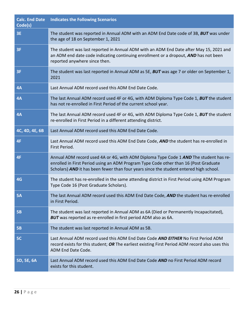| <b>Calc. End Date</b><br>Code(s) | <b>Indicates the Following Scenarios</b>                                                                                                                                                                                                                                |
|----------------------------------|-------------------------------------------------------------------------------------------------------------------------------------------------------------------------------------------------------------------------------------------------------------------------|
| <b>3E</b>                        | The student was reported in Annual ADM with an ADM End Date code of 3B, BUT was under<br>the age of 18 on September 1, 2021                                                                                                                                             |
| <b>3F</b>                        | The student was last reported in Annual ADM with an ADM End Date after May 15, 2021 and<br>an ADM end date code indicating continuing enrollment or a dropout, AND has not been<br>reported anywhere since then.                                                        |
| <b>3F</b>                        | The student was last reported in Annual ADM as 5E, BUT was age 7 or older on September 1,<br>2021                                                                                                                                                                       |
| 4A                               | Last Annual ADM record used this ADM End Date Code.                                                                                                                                                                                                                     |
| 4A                               | The last Annual ADM record used 4F or 4G, with ADM Diploma Type Code 1, <b>BUT</b> the student<br>has not re-enrolled in First Period of the current school year.                                                                                                       |
| 4A                               | The last Annual ADM record used 4F or 4G, with ADM Diploma Type Code 1, BUT the student<br>re-enrolled in First Period in a different attending district.                                                                                                               |
| 4C, 4D, 4E, 6B                   | Last Annual ADM record used this ADM End Date Code.                                                                                                                                                                                                                     |
| 4F                               | Last Annual ADM record used this ADM End Date Code, AND the student has re-enrolled in<br>First Period.                                                                                                                                                                 |
| 4F                               | Annual ADM record used 4A or 4G, with ADM Diploma Type Code 1 AND The student has re-<br>enrolled in First Period using an ADM Program Type Code other than 16 (Post Graduate<br>Scholars) AND it has been fewer than four years since the student entered high school. |
| 4G                               | The student has re-enrolled in the same attending district in First Period using ADM Program<br>Type Code 16 (Post Graduate Scholars).                                                                                                                                  |
| <b>5A</b>                        | The last Annual ADM record used this ADM End Date Code, AND the student has re-enrolled<br>in First Period.                                                                                                                                                             |
| <b>5B</b>                        | The student was last reported in Annual ADM as 6A (Died or Permanently Incapacitated),<br>BUT was reported as re-enrolled in first period ADM also as 6A.                                                                                                               |
| <b>5B</b>                        | The student was last reported in Annual ADM as 5B.                                                                                                                                                                                                                      |
| 5C                               | Last Annual ADM record used this ADM End Date Code AND EITHER No First Period ADM<br>record exists for this student; OR The earliest existing First Period ADM record also uses this<br>ADM End Date Code.                                                              |
| 5D, 5E, 6A                       | Last Annual ADM record used this ADM End Date Code AND no First Period ADM record<br>exists for this student.                                                                                                                                                           |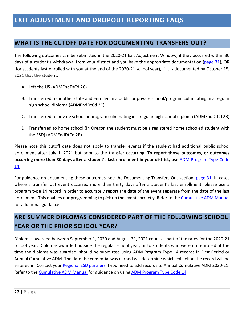## <span id="page-27-0"></span>**EXIT ADJUSTMENT AND DROPOUT REPORTING FAQS**

#### <span id="page-27-1"></span>**WHAT IS THE CUTOFF DATE FOR DOCUMENTING TRANSFERS OUT?**

The following outcomes can be submitted in the 2020-21 Exit Adjustment Window, if they occurred within 30 days of a student's withdrawal from your district and you have the appropriate documentation [\(page](#page-31-0) 31), OR (for students last enrolled with you at the end of the 2020-21 school year), if it is documented by October 15, 2021 that the student:

- A. Left the US (ADMEndDtCd 2C)
- B. Transferred to another state and enrolled in a public or private school/program culminating in a regular high school diploma (ADMEndDtCd 2C)
- C. Transferred to private school or program culminating in a regular high school diploma (ADMEndDtCd 2B)
- D. Transferred to home school (in Oregon the student must be a registered home schooled student with the ESD) (ADMEndDtCd 2B)

Please note this cutoff date does not apply to transfer events if the student had additional public school enrollment after July 1, 2021 but prior to the transfer occurring. **To report those outcomes, or outcomes occurring more than 30 days after a student's last enrollment in your district, use** [ADM Program Type Code](https://district.ode.state.or.us/wma/training/docs/cumadmprog14guidance.pdf)  [14.](https://district.ode.state.or.us/wma/training/docs/cumadmprog14guidance.pdf)

For guidance on documenting these outcomes, see the Documenting Transfers Out section, [page 31.](#page-31-0) In cases where a transfer out event occurred more than thirty days after a student's last enrollment, please use a program type 14 record in order to accurately report the date of the event separate from the date of the last enrollment. This enables our programming to pick up the event correctly. Refer to the [Cumulative ADM Manual](https://district.ode.state.or.us/wma/training/docs/cumadmmanual2021.pdf) for additional guidance.

## <span id="page-27-2"></span>**ARE SUMMER DIPLOMAS CONSIDERED PART OF THE FOLLOWING SCHOOL YEAR OR THE PRIOR SCHOOL YEAR?**

Diplomas awarded between September 1, 2020 and August 31, 2021 count as part of the rates for the 2020-21 school year. Diplomas awarded outside the regular school year, or to students who were not enrolled at the time the diploma was awarded, should be submitted using ADM Program Type 14 records in First Period or Annual Cumulative ADM. The date the credential was earned will determine which collection the record will be entered in. Contact your [Regional ESD partners](http://www.oregon.gov/ode/educator-resources/assessment/Documents/esdpartners.pdf) if you need to add records to Annual Cumulative ADM 2020-21. Refer to the [Cumulative ADM Manual](https://district.ode.state.or.us/wma/training/docs/cumadmmanual2122.pdf) for guidance on usin[g ADM Program Type Code 14.](https://district.ode.state.or.us/wma/training/docs/cumadmprog14guidance.pdf)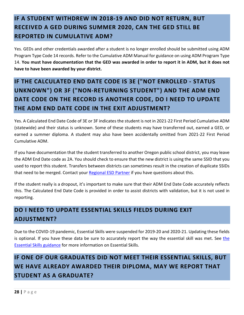## <span id="page-28-0"></span>**IF A STUDENT WITHDREW IN 2018-19 AND DID NOT RETURN, BUT RECEIVED A GED DURING SUMMER 2020, CAN THE GED STILL BE REPORTED IN CUMULATIVE ADM?**

Yes. GEDs and other credentials awarded after a student is no longer enrolled should be submitted using [ADM](https://district.ode.state.or.us/wma/training/docs/cumadmprog14guidance.pdf)  [Program Type Code 14](https://district.ode.state.or.us/wma/training/docs/cumadmprog14guidance.pdf) records. Refer to th[e Cumulative ADM Manual](https://district.ode.state.or.us/wma/training/docs/cumadmmanual2021.pdf) for guidance on using ADM Program Type 14. **You must have documentation that the GED was awarded in order to report it in ADM, but it does not have to have been awarded by your district.**

## <span id="page-28-1"></span>**IF THE CALCULATED END DATE CODE IS 3E ("NOT ENROLLED - STATUS UNKNOWN") OR 3F ("NON-RETURNING STUDENT") AND THE ADM END DATE CODE ON THE RECORD IS ANOTHER CODE, DO I NEED TO UPDATE THE ADM END DATE CODE IN THE EXIT ADJUSTMENT?**

Yes. A Calculated End Date Code of 3E or 3F indicates the student is not in 2021-22 First Period Cumulative ADM (statewide) and their status is unknown. Some of these students may have transferred out, earned a GED, or earned a summer diploma. A student may also have been accidentally omitted from 2021-22 First Period Cumulative ADM.

If you have documentation that the student transferred to another Oregon public school district, you may leave the ADM End Date code as 2A. You should check to ensure that the new district is using the same SSID that you used to report this student. Transfers between districts can sometimes result in the creation of duplicate SSIDs that need to be merged. Contact your [Regional ESD Partner](https://www.oregon.gov/ode/educator-resources/assessment/Documents/esdpartners.pdf) if you have questions about this.

If the student really is a dropout, it's important to make sure that their ADM End Date Code accurately reflects this. The Calculated End Date Code is provided in order to assist districts with validation, but it is not used in reporting.

## <span id="page-28-2"></span>**DO I NEED TO UPDATE ESSENTIAL SKILLS FIELDS DURING EXIT ADJUSTMENT?**

Due to the COVID-19 pandemic, Essential Skills were suspended for 2019-20 and 2020-21. Updating these fields is optional. If you have these data be sure to accurately report [the](http://www.oregon.gov/ode/educator-resources/essentialskills/Pages/default.aspx) way the essential skill was met. See the [Essential Skills guidance](http://www.oregon.gov/ode/educator-resources/essentialskills/Pages/default.aspx) for more information on Essential Skills.

## <span id="page-28-3"></span>**IF ONE OF OUR GRADUATES DID NOT MEET THEIR ESSENTIAL SKILLS, BUT WE HAVE ALREADY AWARDED THEIR DIPLOMA, MAY WE REPORT THAT STUDENT AS A GRADUATE?**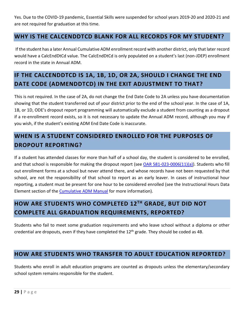Yes. Due to the COVID-19 pandemic, Essential Skills were suspended for school years 2019-20 and 2020-21 and are not required for graduation at this time.

## <span id="page-29-0"></span>**WHY IS THE CALCENDDTCD BLANK FOR ALL RECORDS FOR MY STUDENT?**

If the student has a later Annual Cumulative ADM enrollment record with another district, only that later record would have a CalcEndDtCd value. The CalcEndDtCd is only populated on a student's last (non-JDEP) enrollment record in the state in Annual ADM.

## <span id="page-29-1"></span>**IF THE CALCENDDTCD IS 1A, 1B, 1D, OR 2A, SHOULD I CHANGE THE END DATE CODE (ADMENDDTCD) IN THE EXIT ADJUSTMENT TO THAT?**

This is not required. In the case of 2A, do not change the End Date Code to 2A unless you have documentation showing that the student transferred out of your district prior to the end of the school year. In the case of 1A, 1B, or 1D, ODE's dropout report programming will automatically exclude a student from counting as a dropout if a re-enrollment record exists, so it is not necessary to update the Annual ADM record, although you may if you wish, if the student's existing ADM End Date Code is inaccurate.

## <span id="page-29-2"></span>**WHEN IS A STUDENT CONSIDERED ENROLLED FOR THE PURPOSES OF DROPOUT REPORTING?**

If a student has attended classes for more than half of a school day, the student is considered to be enrolled, and that school is responsible for making the dropout report (see [OAR 581-023-0006\(11\)\(a\)\)](https://secure.sos.state.or.us/oard/viewSingleRule.action?ruleVrsnRsn=145389). Students who fill out enrollment forms at a school but never attend there, and whose records have not been requested by that school, are not the responsibility of that school to report as an early leaver. In cases of instructional hour reporting, a student must be present for one hour to be considered enrolled (see the Instructional Hours Data Element section of the [Cumulative ADM Manual](https://district.ode.state.or.us/wma/training/docs/cumadmmanual2122.pdf) for more information).

## <span id="page-29-3"></span>**HOW ARE STUDENTS WHO COMPLETED 12TH GRADE, BUT DID NOT COMPLETE ALL GRADUATION REQUIREMENTS, REPORTED?**

Students who fail to meet some graduation requirements and who leave school without a diploma or other credential are dropouts, even if they have completed the 12<sup>th</sup> grade. They should be coded as 4B.

## <span id="page-29-4"></span>**HOW ARE STUDENTS WHO TRANSFER TO ADULT EDUCATION REPORTED?**

Students who enroll in adult education programs are counted as dropouts unless the elementary/secondary school system remains responsible for the student.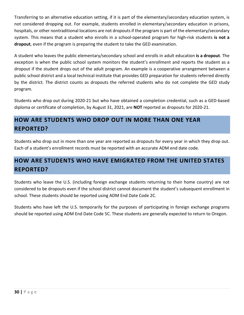Transferring to an alternative education setting, if it is part of the elementary/secondary education system, is not considered dropping out. For example, students enrolled in elementary/secondary education in prisons, hospitals, or other nontraditional locations are not dropouts if the program is part of the elementary/secondary system. This means that a student who enrolls in a school-operated program for high-risk students **is not a dropout**, even if the program is preparing the student to take the GED examination.

A student who leaves the public elementary/secondary school and enrolls in adult education **is a dropout**. The exception is when the public school system monitors the student's enrollment and reports the student as a dropout if the student drops out of the adult program. An example is a cooperative arrangement between a public school district and a local technical institute that provides GED preparation for students referred directly by the district. The district counts as dropouts the referred students who do not complete the GED study program.

Students who drop out during 2020-21 but who have obtained a completion credential, such as a GED-based diploma or certificate of completion, by August 31, 2021, are **NOT** reported as dropouts for 2020-21.

## <span id="page-30-0"></span>**HOW ARE STUDENTS WHO DROP OUT IN MORE THAN ONE YEAR REPORTED?**

Students who drop out in more than one year are reported as dropouts for every year in which they drop out. Each of a student's enrollment records must be reported with an accurate ADM end date code.

## <span id="page-30-1"></span>**HOW ARE STUDENTS WHO HAVE EMIGRATED FROM THE UNITED STATES REPORTED?**

Students who leave the U.S. (including foreign exchange students returning to their home country) are not considered to be dropouts even if the school district cannot document the student's subsequent enrollment in school. These students should be reported using ADM End Date Code 2C.

Students who have left the U.S. temporarily for the purposes of participating in foreign exchange programs should be reported using ADM End Date Code 5C. These students are generally expected to return to Oregon.